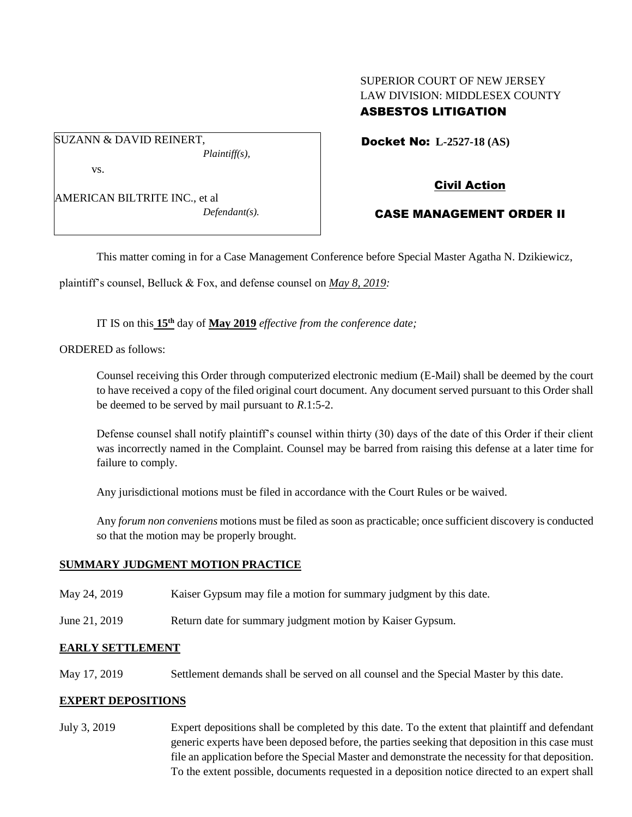# SUPERIOR COURT OF NEW JERSEY LAW DIVISION: MIDDLESEX COUNTY ASBESTOS LITIGATION

Docket No: **L-2527-18 (AS)** 

Civil Action

# CASE MANAGEMENT ORDER II

This matter coming in for a Case Management Conference before Special Master Agatha N. Dzikiewicz,

plaintiff's counsel, Belluck & Fox, and defense counsel on *May 8, 2019:*

*Defendant(s).*

IT IS on this **15th** day of **May 2019** *effective from the conference date;*

ORDERED as follows:

Counsel receiving this Order through computerized electronic medium (E-Mail) shall be deemed by the court to have received a copy of the filed original court document. Any document served pursuant to this Order shall be deemed to be served by mail pursuant to *R*.1:5-2.

Defense counsel shall notify plaintiff's counsel within thirty (30) days of the date of this Order if their client was incorrectly named in the Complaint. Counsel may be barred from raising this defense at a later time for failure to comply.

Any jurisdictional motions must be filed in accordance with the Court Rules or be waived.

Any *forum non conveniens* motions must be filed as soon as practicable; once sufficient discovery is conducted so that the motion may be properly brought.

#### **SUMMARY JUDGMENT MOTION PRACTICE**

- May 24, 2019 Kaiser Gypsum may file a motion for summary judgment by this date.
- June 21, 2019 Return date for summary judgment motion by Kaiser Gypsum.

#### **EARLY SETTLEMENT**

May 17, 2019 Settlement demands shall be served on all counsel and the Special Master by this date.

### **EXPERT DEPOSITIONS**

July 3, 2019 Expert depositions shall be completed by this date. To the extent that plaintiff and defendant generic experts have been deposed before, the parties seeking that deposition in this case must file an application before the Special Master and demonstrate the necessity for that deposition. To the extent possible, documents requested in a deposition notice directed to an expert shall

SUZANN & DAVID REINERT, *Plaintiff(s),*

AMERICAN BILTRITE INC., et al

vs.